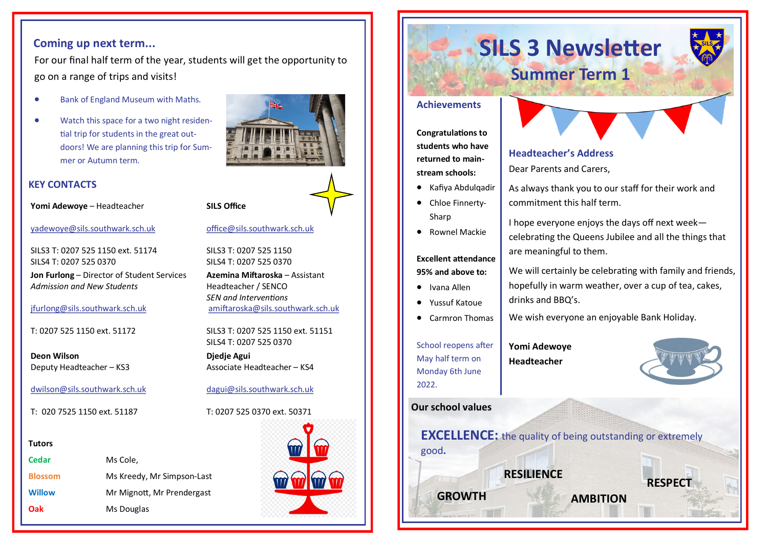#### **Coming up next term...**

For our final half term of the year, students will get the opportunity to go on a range of trips and visits!

- Bank of England Museum with Maths.
- Watch this space for a two night residential trip for students in the great outdoors! We are planning this trip for Summer or Autumn term.

#### **KEY CONTACTS**

**Yomi Adewoye** – Headteacher

[yadewoye@sils.southwark.sch.uk](mailto:yadewoye@sils.southwark.sch.uk)

SILS3 T: 0207 525 1150 ext. 51174 SILS4 T: 0207 525 0370

**Jon Furlong** – Director of Student Services *Admission and New Students*

#### [jfurlong@sils.southwark.sch.uk](mailto:jfurlong@sils.southwark.sch.uk)

T: 0207 525 1150 ext. 51172

**Deon Wilson** Deputy Headteacher – KS3

[dwilson@sils.southwark.sch.uk](mailto:dwilson@sils.southwark.sch.uk)

T: 020 7525 1150 ext. 51187

#### **Tutors**

| Cedar          | Ms Cole,                   |
|----------------|----------------------------|
| <b>Blossom</b> | Ms Kreedy, Mr Simpson-Last |
| <b>Willow</b>  | Mr Mignott, Mr Prendergast |
| <b>Oak</b>     | Ms Douglas                 |



[office@sils.southwark.sch.uk](mailto:office@sils.southwark.sch.uk)

**SILS Office**

SILS3 T: 0207 525 1150 SILS4 T: 0207 525 0370

**Azemina Miftaroska** – Assistant Headteacher / SENCO *SEN and Interventions* [amiftaroska@sils.southwark.sch.uk](mailto:amiftaroska@sils.southwark.sch.uk)

SILS3 T: 0207 525 1150 ext. 51151 SILS4 T: 0207 525 0370

**Djedje Agui** Associate Headteacher – KS4

[dagui@sils.southwark.sch.uk](mailto:dagui@sils.southwark.sch.uk)

T: 0207 525 0370 ext. 50371



# **SILS 3 Newsletter Summer Term 1**

#### **Achievements**

**Congratulations to students who have returned to mainstream schools:** 

- Kafiya Abdulqadir
- Chloe Finnerty-Sharp
- Rownel Mackie

**Excellent attendance 95% and above to:** 

- Ivana Allen
- Yussuf Katoue
- Carmron Thomas

School reopens after May half term on Monday 6th June 2022.

## **Yomi Adewoye**



**RESPECT**

#### **Our school values**

**EXCELLENCE:** the quality of being outstanding or extremely good**.** 

**RESILIENCE** 

**GROWTH AMBITION**

**Headteacher's Address** 

Dear Parents and Carers,

As always thank you to our staff for their work and commitment this half term.

I hope everyone enjoys the days off next week celebrating the Queens Jubilee and all the things that are meaningful to them.

We will certainly be celebrating with family and friends, hopefully in warm weather, over a cup of tea, cakes, drinks and BBQ's.

We wish everyone an enjoyable Bank Holiday.

**Headteacher**